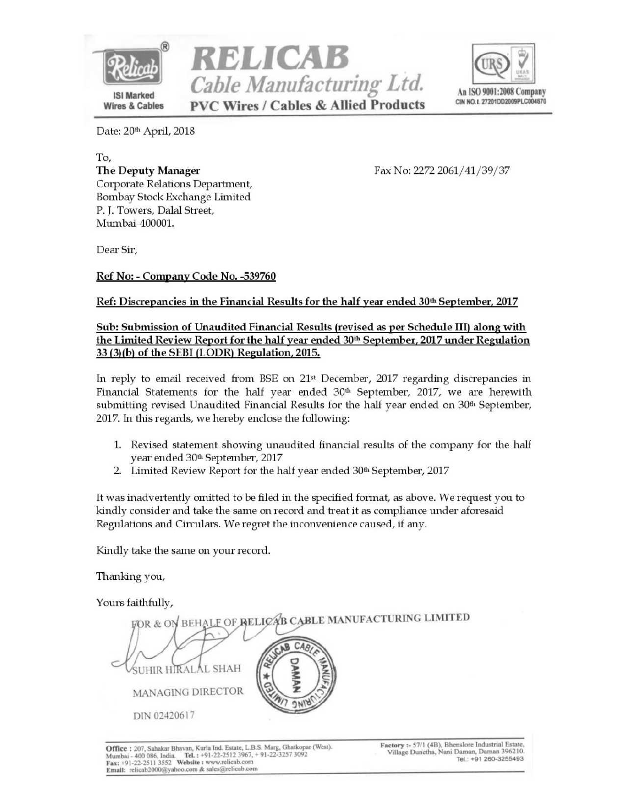





Date: 20th April, 2018

To, The Deputy Manager Corporate Relations Department, Bombay Stock Exchange Limited P. I. Towers, Dalal Street, Mumbai-400001.

Fax No: 2272 2061/41/39/37

Dear Sir,

Ref No: - Company Code No. -539760

## Ref: Discrepancies in the Financial Results for the half year ended 30<sup>th</sup> September, 2017

## Sub: Submission of Unaudited Financial Results (revised as per Schedule III) along with the Limited Review Report for the half year ended 30<sup>th</sup> September, 2017 under Regulation 33 (3)(b) of the SEBI (LODR) Regulation, 2015.

In reply to email received from BSE on 21<sup>st</sup> December, 2017 regarding discrepancies in Financial Statements for the half year ended  $30<sup>th</sup>$  September, 2017, we are herewith submitting revised Unaudited Financial Results for the half year ended on 30<sup>th</sup> September, 2017. In this regards, we hereby enclose the following:

- 1. Revised statement showing unaudited financial results of the company for the half year ended 30th September, 2017
- 2. Limited Review Report for the half year ended 30<sup>th</sup> September, 2017

It was inadvertently omitted to be filed in the specified format, as above. We request you to kindly consider and take the same on record and treat it as compliance under aforesaid Regulations and Circulars. We regret the inconvenience caused, if any.

Kindly take the same on your record.

Thanking you,

Yours faithfully,

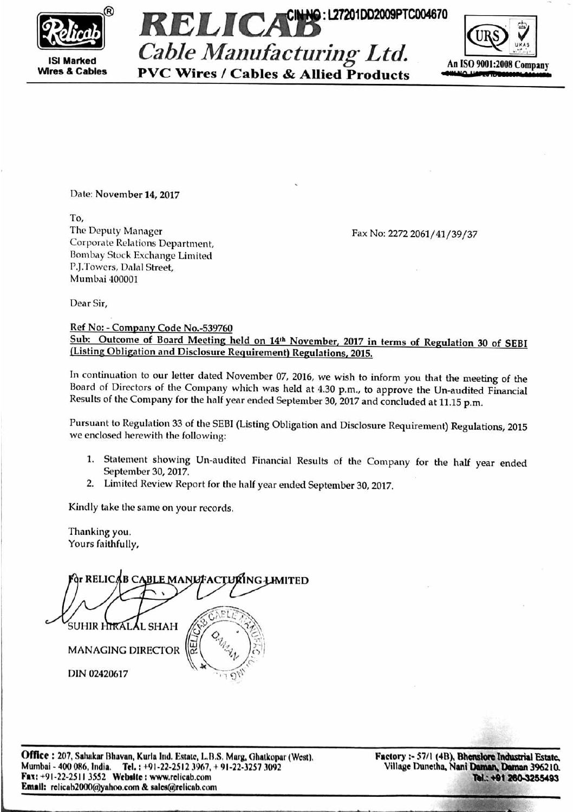

**ISI Marked Wires & Cables** 



**PVC Wires / Cables & Allied Products** 



Date: November 14, 2017

To. The Deputy Manager Corporate Relations Department, Bombay Stock Exchange Limited P.J.Towers, Dalal Street, Mumbai 400001

Fax No: 2272 2061/41/39/37

Dear Sir,

Ref No: - Company Code No.-539760

Sub: Outcome of Board Meeting held on 14th November, 2017 in terms of Regulation 30 of SEBI (Listing Obligation and Disclosure Requirement) Regulations, 2015.

In continuation to our letter dated November 07, 2016, we wish to inform you that the meeting of the Board of Directors of the Company which was held at 4.30 p.m., to approve the Un-audited Financial Results of the Company for the half year ended September 30, 2017 and concluded at 11.15 p.m.

Pursuant to Regulation 33 of the SEBI (Listing Obligation and Disclosure Requirement) Regulations, 2015 we enclosed herewith the following:

- 1. Statement showing Un-audited Financial Results of the Company for the half year ended September 30, 2017.
- 2. Limited Review Report for the half year ended September 30, 2017.

Kindly take the same on your records.

Thanking you. Yours faithfully,

**BLE MANLFACTURING LIMITED** ∂r RELIC**AB** CA Al shah **MANAGING DIRECTOR** DIN 02420617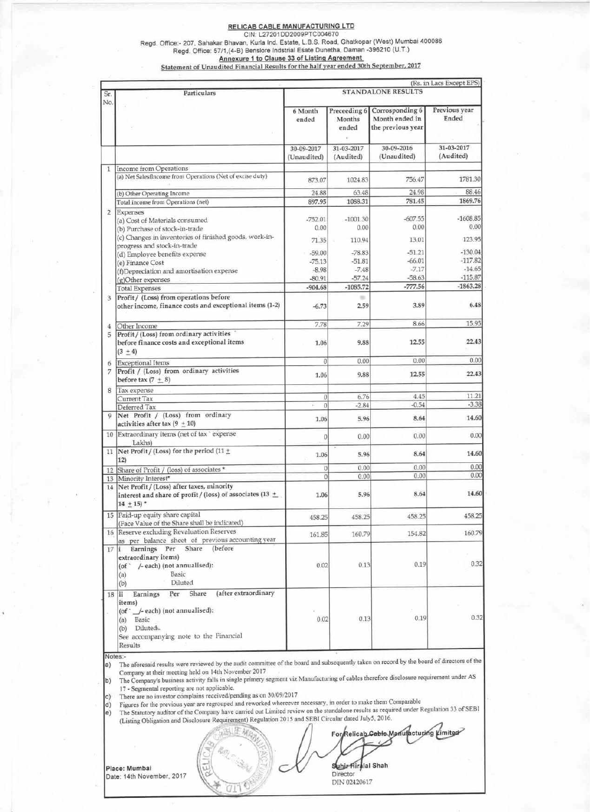### **RELICAB CABLE MANUFACTURING LTD**

Regd. Office:- 207, Sahakar Bhavan, Kurla Ind. Estate, L.B.S. Road, Ghatkopar (West) Mumbai 400086<br>Regd. Office: 57/1, (4-B) Benslore Indicting Estate, L.B.S. Road, Ghatkopar (West) Mumbai 400086<br>Regd. Office: 57/1, (4-B)

| Sr.            | Particulars                                                                                                                                                                               | (Rs. in Lacs Except EPS)<br><b>STANDALONE RESULTS</b> |                         |                                                                     |                         |  |
|----------------|-------------------------------------------------------------------------------------------------------------------------------------------------------------------------------------------|-------------------------------------------------------|-------------------------|---------------------------------------------------------------------|-------------------------|--|
| No.            |                                                                                                                                                                                           | 6 Month<br>ended                                      | Months<br>ended         | Preceeding 6 Corrosponding 6<br>Month ended in<br>the previous year | Previous year<br>Ended  |  |
|                |                                                                                                                                                                                           | 30-09-2017<br>(Unaudited)                             | 31-03-2017<br>(Audited) | 30-09-2016<br>(Unaudited)                                           | 31-03-2017<br>(Audited) |  |
| 1              | Income from Operations                                                                                                                                                                    |                                                       |                         |                                                                     |                         |  |
|                | (a) Net Salesfincome from Operations (Net of excise duty)                                                                                                                                 | 873.07                                                | 1024.83                 | 756.47                                                              | 1781.30                 |  |
|                | (b) Other Operating Income                                                                                                                                                                | 24.88                                                 | 63.48                   | 24.98                                                               | 88.46                   |  |
|                | Total income from Operations (net)                                                                                                                                                        | 897.95                                                | 1088.31                 | 781.45                                                              | 1869.76                 |  |
| $\overline{2}$ | Expenses                                                                                                                                                                                  |                                                       |                         |                                                                     |                         |  |
|                | (a) Cost of Materials consumed                                                                                                                                                            | $-752.01$                                             | $-1001.30$              | $-607.55$                                                           | $-1608.85$              |  |
|                | (b) Purchase of stock-in-trade                                                                                                                                                            | 0.00                                                  | 0.00                    | 0.00                                                                | 0.00                    |  |
|                | (c) Changes in inventories of finished goods, work-in-<br>progress and stock-in-trade                                                                                                     | 71.35                                                 | 110.94                  | 13.01                                                               | 123.95                  |  |
|                | (d) Employee benefits expense                                                                                                                                                             | $-59.00$                                              | $-78.83$                | $-51.21$                                                            | $-130.04$               |  |
|                | (e) Finance Cost                                                                                                                                                                          | $-75.13$                                              | $-51.81$                | $-66.01$                                                            | $-117.82$               |  |
|                | (f)Depreciation and amortisation expense                                                                                                                                                  | $-8.98$                                               | $-7.48$                 | $-7.17$                                                             | $-14.65$                |  |
|                | (g)Other expenses                                                                                                                                                                         | $-80.91$                                              | $-57.24$                | $-58.63$                                                            | $-115.87$               |  |
|                | <b>Total Expenses</b>                                                                                                                                                                     | $-904.68$                                             | $-1085.72$              | $-777.56$                                                           | $-1863.28$              |  |
| 3.             | Profit / (Loss) from operations before<br>other income, finance costs and exceptional items (1-2)                                                                                         | $-6.73$                                               | $\frac{1}{2}$<br>2.59   | 3.89                                                                | 6.48                    |  |
| 4              | Other Income                                                                                                                                                                              | 7.78                                                  | 7.29                    | 8.66                                                                | 15.95                   |  |
| 5              | Profit / (Loss) from ordinary activities<br>before finance costs and exceptional items<br>$(3 + 4)$                                                                                       | 1.06                                                  | 9.88                    | 12.55                                                               | 22.43                   |  |
|                |                                                                                                                                                                                           | $\overline{0}$                                        | 0.00                    | 0.00                                                                | 0.00                    |  |
| 6              | Exceptional Items                                                                                                                                                                         |                                                       |                         |                                                                     |                         |  |
| 7              | Profit / (Loss) from ordinary activities<br>before tax $(7 + 8)$                                                                                                                          | 1.06                                                  | 9.88                    | 12.55                                                               | 22.43                   |  |
| 8              | Tax expense                                                                                                                                                                               |                                                       |                         |                                                                     |                         |  |
|                | Current Tax                                                                                                                                                                               | $\theta$                                              | 6.76                    | 4.45                                                                | 11.21                   |  |
|                | Deferred Tax                                                                                                                                                                              | $\overline{0}$<br>ī.                                  | $-2.84$                 | $-0.54$                                                             | $-3.38$                 |  |
|                | 9 Net Profit / (Loss) from ordinary<br>activities after tax $(9 + 10)$                                                                                                                    | 1.06                                                  | 5.96                    | 8.64                                                                | 14.60                   |  |
|                | 10 Extraordinary items (net of tax ' expense<br>Lakhs)                                                                                                                                    | 0                                                     | 0.00                    | 0.00                                                                | 0.00                    |  |
| 11             | Net Profit / (Loss) for the period (11 $\pm$<br>12)                                                                                                                                       | 1.06                                                  | 5.96                    | 8.64                                                                | 14.60                   |  |
|                | 12 Share of Profit / (loss) of associates *                                                                                                                                               | $\theta$                                              | 0.00                    | 0,00                                                                | 0.00                    |  |
| 13             | Minority Interest*                                                                                                                                                                        | $\overline{0}$                                        | 0.00                    | 0.00                                                                | 0.00                    |  |
| 14             | Net Profit / (Loss) after taxes, minority<br>interest and share of profit / (loss) of associates (13 $\pm$<br>$14 + 15$                                                                   | 1.06                                                  | 5.96                    | 8.64                                                                | 14.60                   |  |
|                | 15 Paid-up equity share capital<br>(Face Value of the Share shall be indicated)                                                                                                           | 458.25                                                | 458.25                  | 458.25                                                              | 458.25                  |  |
|                | 16 Reserve excluding Revaluation Reserves<br>as per balance sheet of previous accounting year                                                                                             | 161.85                                                | 160.79                  | 154.82                                                              | 160.79                  |  |
|                | Share<br>Earnings Per<br>(before)<br>$17$ i<br>extraordinary items)<br>(of '/-each) (not annualised):<br>Basic<br>(a)<br>Diluted<br>(b)                                                   | 0.02                                                  | 0.13                    | 0.19.                                                               | 0.32                    |  |
| 18             | (after extraordinary<br>Share<br>Earnings<br>Per<br>lii<br>items)<br>(of ` _/- each) (not annualised):<br>(a) Basic<br>(b) Diluted-<br>See accompanying note to the Financial<br>Recults. | 0.02                                                  | 0.13                    | 0.19                                                                | 0.32                    |  |

Notes:-

The aforesaid results were reviewed by the audit committee of the board and subsequently taken on record by the board of directors of the a) Company at their meeting held on 14th November 2017<br>The Company's business activity falls in single primery segment viz Manufacturing of cables therefore disclosure requirement under AS

b) 17 - Segmental reporting are not applicable.<br>There are no investor complains received/pending as on 30/09/2017

(c

 $|d\rangle$ 

Figures for the previous year are regrouped and reworked wherever necessary, in order to make them Comparable<br>The Statutory auditor of the Company have carried out Limited review on the standalone results as required under le)

|                                            |  | For Relicab Cable Manufacturing Limited        |
|--------------------------------------------|--|------------------------------------------------|
| Place: Mumbai<br>Date: 14th November, 2017 |  | Suhir Hiralal Shah<br>Director<br>DIN 02420617 |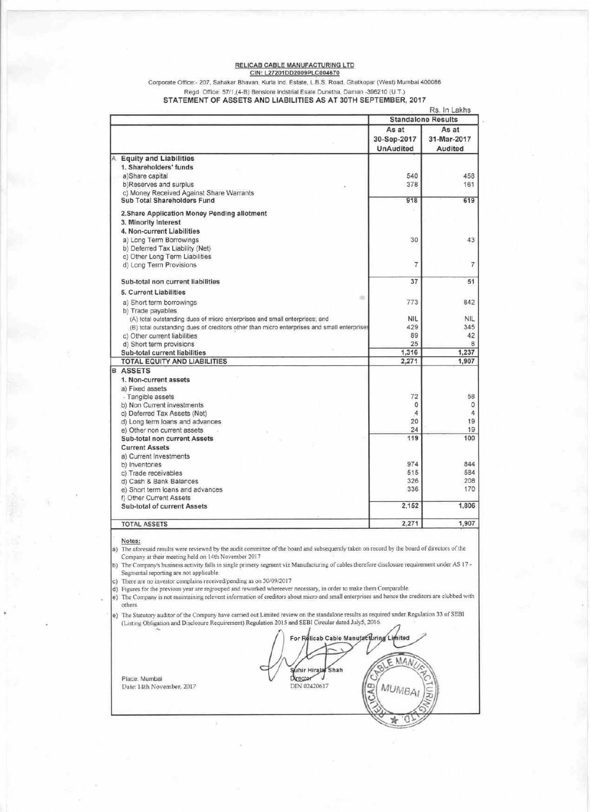#### RELICAB CABLE MANUFACTURING LTD CIN: L27201DD2009PLC004670

Corporate Office:- 207, Sahakar Bhavan, Kurla Ind. Estate, L.B.S. Road, Ghatkopar (West) Mumbai 400086

#### Regd. Office: 57/1,(4-B) Benslore Indstrial Esate Dunetha, Daman -396210 (U.T.) STATEMENT OF ASSETS AND LIABILITIES AS AT 30TH SEPTEMBER, 2017

|                                    |                                                                                            |                                          | Rs. In Lakhs                    |
|------------------------------------|--------------------------------------------------------------------------------------------|------------------------------------------|---------------------------------|
|                                    |                                                                                            |                                          | <b>Standalone Results</b>       |
|                                    |                                                                                            | As at<br>30-Sep-2017<br><b>UnAudited</b> | As at<br>31-Mar-2017<br>Audited |
| <b>Equity and Liabilities</b><br>A |                                                                                            |                                          |                                 |
| 1. Shareholders' funds             |                                                                                            |                                          |                                 |
| a)Share capital                    |                                                                                            | 540                                      | 458                             |
| b)Reserves and surplus             |                                                                                            | 378                                      | 161                             |
|                                    | c) Money Received Against Share Warrants                                                   |                                          |                                 |
|                                    | Sub Total Shareholders Fund                                                                | 918                                      | 619                             |
|                                    | 2. Share Application Money Pending allotment                                               |                                          |                                 |
| 3. Minority Interest               |                                                                                            |                                          |                                 |
|                                    | 4. Non-current Liabilities                                                                 |                                          |                                 |
|                                    | a) Long Term Borrowings                                                                    | 30                                       | 43                              |
|                                    | b) Deferred Tax Liability (Net)                                                            |                                          |                                 |
|                                    | c) Other Long Term Liabilities                                                             |                                          |                                 |
|                                    | d) Long Term Provisions                                                                    | $\overline{7}$                           | $\overline{7}$                  |
|                                    | Sub-total non current liabilities                                                          | 37                                       | 51                              |
| 5. Current Liabilities             |                                                                                            |                                          |                                 |
|                                    | $\equiv$<br>a) Short term borrowings                                                       | 773                                      | 842                             |
| b) Trade payables                  |                                                                                            |                                          |                                 |
|                                    | (A) total outstanding dues of micro enterprises and small enterprises; and                 | <b>NIL</b>                               | <b>NIL</b>                      |
|                                    | (B) total outstanding dues of creditors other than micro enterprises and small enterprises | 429                                      | 345                             |
|                                    | c) Other current liabilities                                                               | 89                                       | 42                              |
|                                    | d) Short term provisions                                                                   | 25                                       | 8                               |
|                                    | Sub-total current liabilities                                                              | 1,316                                    | 1,237                           |
|                                    | <b>TOTAL EQUITY AND LIABILITIES</b>                                                        | 2,271                                    | 1.907                           |
| <b>ASSETS</b><br>B                 |                                                                                            |                                          |                                 |
| 1. Non-current assets              |                                                                                            |                                          |                                 |
| a) Fixed assets                    |                                                                                            |                                          |                                 |
| - Tangible assets                  |                                                                                            | 72                                       | 58                              |
|                                    | b) Non Current investments                                                                 | $\circ$                                  | 0                               |
|                                    | c) Deferred Tax Assets (Net)                                                               | 4                                        | 4                               |
|                                    | d) Long term loans and advances                                                            | 20<br>24                                 | 19<br>19                        |
|                                    | e) Other non current assets<br>Sub-total non current Assets                                | 119                                      | 100                             |
| <b>Current Assets</b>              |                                                                                            |                                          |                                 |
| a) Current Investments             |                                                                                            |                                          |                                 |
| b) Inventories                     |                                                                                            | 974                                      | 844                             |
| c) Trade receivables               |                                                                                            | 515                                      | 584                             |
|                                    | d) Cash & Bank Balances                                                                    | 326                                      | 208                             |
|                                    | e) Short term loans and advances                                                           | 336                                      | 170                             |
| f) Other Current Assets            |                                                                                            |                                          |                                 |
|                                    | Sub-total of current Assets                                                                | 2,152                                    | 1,806                           |
| <b>TOTAL ASSETS</b>                |                                                                                            | 2,271                                    | 1,907                           |
|                                    |                                                                                            |                                          |                                 |

Notes:

Place: Mumbai

Date: 14th November, 2017

a) The aforesaid results were reviewed by the audit committee of the board and subsequently taken on record by the board of directors of the Company at their meeting held on 14th November 2017

b) The Company's business activity falls in single primery segment viz Manufacturing of cables therefore disclosure requirement under AS 17 -Segmental reporting are not applicable.

c) There are no investor complains received/pending as on 30/09/2017<br>d) Figures for the previous year are regrouped and reworked whereever necessary, in order to make them Comparable.

e) The Company is not maintaining relevent information of creditors about micro and small enterprises and hence the creditors are clubbed with others.

e) The Statutory auditor of the Company have carried out Limited review on the standalone results as required under Regulation 33 of SEBI (Listing Obligation and Disclosure Requirement) Regulation 2015 and SEBI Circular dated July5, 2016.

For Relicab Cable Manufacturing Limited MAN F. Suhir Hirala Shah Director DIN 02420617 **MUMBA** œ O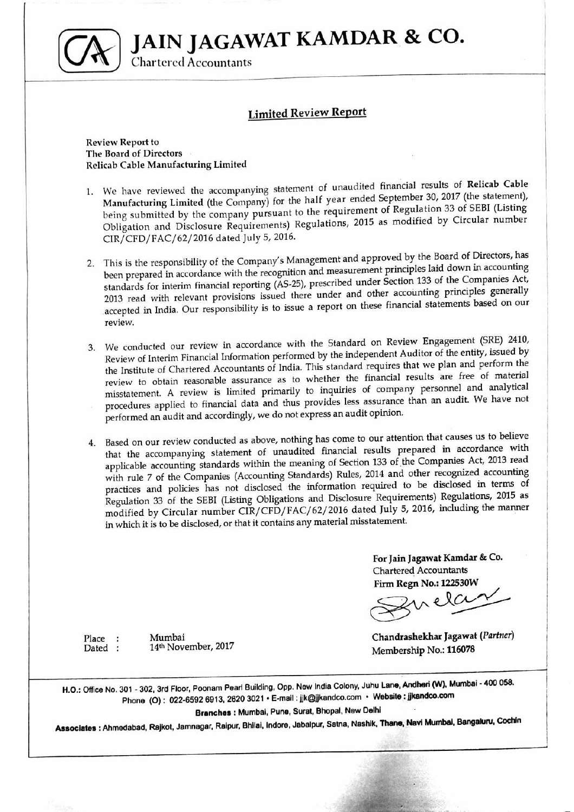JAIN JAGAWAT KAMDAR & CO.



**Chartered Accountants** 

# **Limited Review Report**

### **Review Report to** The Board of Directors **Relicab Cable Manufacturing Limited**

Mumbai

14th November, 2017

Place :

Dated :

- 1. We have reviewed the accompanying statement of unaudited financial results of Relicab Cable Manufacturing Limited (the Company) for the half year ended September 30, 2017 (the statement), being submitted by the company pursuant to the requirement of Regulation 33 of SEBI (Listing Obligation and Disclosure Requirements) Regulations, 2015 as modified by Circular number CIR/CFD/FAC/62/2016 dated July 5, 2016.
- 2. This is the responsibility of the Company's Management and approved by the Board of Directors, has been prepared in accordance with the recognition and measurement principles laid down in accounting standards for interim financial reporting (AS-25), prescribed under Section 133 of the Companies Act, 2013 read with relevant provisions issued there under and other accounting principles generally accepted in India. Our responsibility is to issue a report on these financial statements based on our review.
- 3. We conducted our review in accordance with the Standard on Review Engagement (SRE) 2410, Review of Interim Financial Information performed by the independent Auditor of the entity, issued by the Institute of Chartered Accountants of India. This standard requires that we plan and perform the review to obtain reasonable assurance as to whether the financial results are free of material misstatement. A review is limited primarily to inquiries of company personnel and analytical procedures applied to financial data and thus provides less assurance than an audit. We have not performed an audit and accordingly, we do not express an audit opinion.
- Based on our review conducted as above, nothing has come to our attention that causes us to believe 4. that the accompanying statement of unaudited financial results prepared in accordance with applicable accounting standards within the meaning of Section 133 of the Companies Act, 2013 read with rule 7 of the Companies (Accounting Standards) Rules, 2014 and other recognized accounting practices and policies has not disclosed the information required to be disclosed in terms of Regulation 33 of the SEBI (Listing Obligations and Disclosure Requirements) Regulations, 2015 as modified by Circular number CIR/CFD/FAC/62/2016 dated July 5, 2016, including the manner in which it is to be disclosed, or that it contains any material misstatement.

For Jain Jagawat Kamdar & Co. **Chartered Accountants** Firm Regn No.: 122530W

Chandrashekhar Jagawat (Partner) Membership No.: 116078

H.O.: Office No. 301 - 302, 3rd Floor, Poonam Pearl Building, Opp. New India Colony, Juhu Lane, Andheri (W), Mumbai - 400 058. Phone (O): 022-6592 6913, 2620 3021 · E-mail: jjk@jjkandco.com · Website: jjkandco.com

Branches : Mumbai, Pune, Surat, Bhopal, New Delhi

Associates : Ahmedabad, Rajkot, Jamnagar, Raipur, Bhilai, Indore, Jabalpur, Satna, Nashik, Thane, Navi Mumbai, Bangaluru, Cochin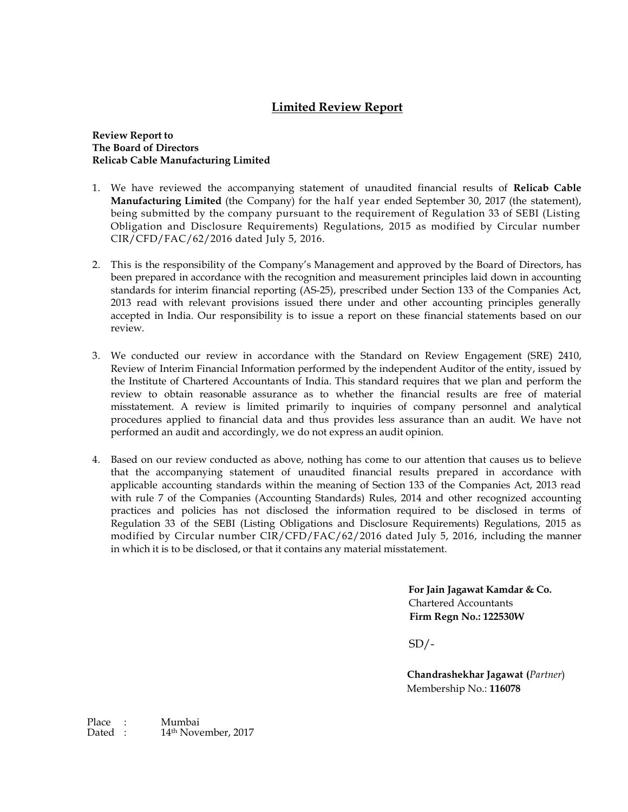# **Limited Review Report**

### **Review Report to The Board of Directors Relicab Cable Manufacturing Limited**

- 1. We have reviewed the accompanying statement of unaudited financial results of **Relicab Cable Manufacturing Limited** (the Company) for the half year ended September 30, 2017 (the statement), being submitted by the company pursuant to the requirement of Regulation 33 of SEBI (Listing Obligation and Disclosure Requirements) Regulations, 2015 as modified by Circular number CIR/CFD/FAC/62/2016 dated July 5, 2016.
- 2. This is the responsibility of the Company's Management and approved by the Board of Directors, has been prepared in accordance with the recognition and measurement principles laid down in accounting standards for interim financial reporting (AS-25), prescribed under Section 133 of the Companies Act, 2013 read with relevant provisions issued there under and other accounting principles generally accepted in India. Our responsibility is to issue a report on these financial statements based on our review.
- 3. We conducted our review in accordance with the Standard on Review Engagement (SRE) 2410, Review of Interim Financial Information performed by the independent Auditor of the entity, issued by the Institute of Chartered Accountants of India. This standard requires that we plan and perform the review to obtain reasonable assurance as to whether the financial results are free of material misstatement. A review is limited primarily to inquiries of company personnel and analytical procedures applied to financial data and thus provides less assurance than an audit. We have not performed an audit and accordingly, we do not express an audit opinion.
- 4. Based on our review conducted as above, nothing has come to our attention that causes us to believe that the accompanying statement of unaudited financial results prepared in accordance with applicable accounting standards within the meaning of Section 133 of the Companies Act, 2013 read with rule 7 of the Companies (Accounting Standards) Rules, 2014 and other recognized accounting practices and policies has not disclosed the information required to be disclosed in terms of Regulation 33 of the SEBI (Listing Obligations and Disclosure Requirements) Regulations, 2015 as modified by Circular number CIR/CFD/FAC/62/2016 dated July 5, 2016, including the manner in which it is to be disclosed, or that it contains any material misstatement.

**For Jain Jagawat Kamdar & Co.** Chartered Accountants **Firm Regn No.: 122530W** 

 $SD/-$ 

**Chandrashekhar Jagawat (***Partner*) Membership No.: **116078**

Place : Mumbai<br>Dated : 14<sup>th</sup> Nove 14th November, 2017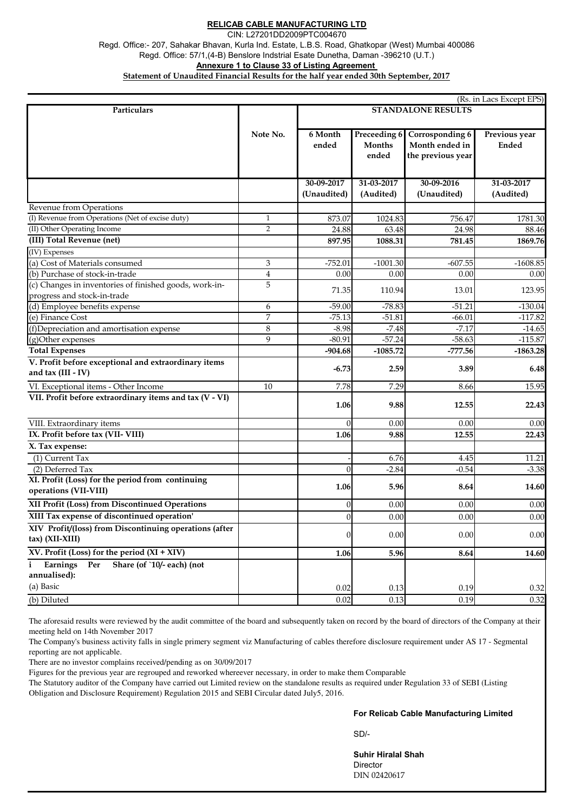## **RELICAB CABLE MANUFACTURING LTD**

CIN: L27201DD2009PTC004670

Regd. Office:- 207, Sahakar Bhavan, Kurla Ind. Estate, L.B.S. Road, Ghatkopar (West) Mumbai 400086 **Annexure 1 to Clause 33 of Listing Agreement**  Regd. Office: 57/1,(4-B) Benslore Indstrial Esate Dunetha, Daman -396210 (U.T.)

**Statement of Unaudited Financial Results for the half year ended 30th September, 2017**

| (Rs. in Lacs Except EPS)                                                   |                             |                           |                               |                                   |              |
|----------------------------------------------------------------------------|-----------------------------|---------------------------|-------------------------------|-----------------------------------|--------------|
| Particulars                                                                |                             | <b>STANDALONE RESULTS</b> |                               |                                   |              |
|                                                                            | Note No.                    | 6 Month                   |                               | Previous year                     |              |
|                                                                            |                             | ended                     | Preceeding 6<br><b>Months</b> | Corrosponding 6<br>Month ended in | <b>Ended</b> |
|                                                                            |                             |                           | ended                         | the previous year                 |              |
|                                                                            |                             |                           |                               |                                   |              |
|                                                                            |                             | 30-09-2017                | 31-03-2017                    | 30-09-2016                        | 31-03-2017   |
|                                                                            |                             | (Unaudited)               | (Audited)                     | (Unaudited)                       | (Audited)    |
| Revenue from Operations                                                    |                             |                           |                               |                                   |              |
| (I) Revenue from Operations (Net of excise duty)                           | $\mathbf{1}$                | 873.07                    | 1024.83                       | 756.47                            | 1781.30      |
| (II) Other Operating Income                                                | $\overline{2}$              | 24.88                     | 63.48                         | 24.98                             | 88.46        |
| (III) Total Revenue (net)                                                  |                             | 897.95                    | 1088.31                       | 781.45                            | 1869.76      |
| (IV) Expenses                                                              |                             |                           |                               |                                   |              |
| (a) Cost of Materials consumed                                             | $\ensuremath{\mathfrak{Z}}$ | $-752.01$                 | $-1001.30$                    | $-607.55$                         | $-1608.85$   |
| (b) Purchase of stock-in-trade                                             | $\overline{\mathbf{4}}$     | 0.00                      | 0.00                          | 0.00                              | 0.00         |
| (c) Changes in inventories of finished goods, work-in-                     | 5                           | 71.35                     | 110.94                        | 13.01                             | 123.95       |
| progress and stock-in-trade                                                |                             |                           |                               |                                   |              |
| (d) Employee benefits expense                                              | 6                           | $-59.00$                  | $-78.83$                      | $-51.21$                          | $-130.04$    |
| $\overline{e}$ Finance Cost                                                | 7                           | $-75.13$                  | $-51.81$                      | $-66.01$                          | $-117.82$    |
| (f)Depreciation and amortisation expense                                   | 8                           | $-8.98$                   | $-7.48$                       | $-7.17$                           | $-14.65$     |
| (g)Other expenses                                                          | 9                           | $-80.91$                  | $-57.24$                      | $-58.63$                          | $-115.87$    |
| <b>Total Expenses</b>                                                      |                             | $-904.68$                 | $-1085.72$                    | $-777.56$                         | $-1863.28$   |
| V. Profit before exceptional and extraordinary items<br>and tax (III - IV) |                             | $-6.73$                   | 2.59                          | 3.89                              | 6.48         |
| VI. Exceptional items - Other Income                                       | 10                          | 7.78                      | 7.29                          | 8.66                              | 15.95        |
| VII. Profit before extraordinary items and tax (V - VI)                    |                             | 1.06                      | 9.88                          | 12.55                             | 22.43        |
| VIII. Extraordinary items                                                  |                             | $\Omega$                  | 0.00                          | 0.00                              | 0.00         |
| IX. Profit before tax (VII-VIII)                                           |                             | 1.06                      | 9.88                          | 12.55                             | 22.43        |
| X. Tax expense:                                                            |                             |                           |                               |                                   |              |
| (1) Current Tax                                                            |                             |                           | 6.76                          | 4.45                              | 11.21        |
| (2) Deferred Tax                                                           |                             | $\overline{0}$            | $-2.84$                       | $-0.54$                           | $-3.38$      |
| XI. Profit (Loss) for the period from continuing<br>operations (VII-VIII)  |                             | 1.06                      | 5.96                          | 8.64                              | 14.60        |
| XII Profit (Loss) from Discontinued Operations                             |                             | $\vert 0 \vert$           | 0.00                          | 0.00                              | 0.00         |
| XIII Tax expense of discontinued operation'                                |                             | $\vert$ 0                 | 0.00                          | 0.00                              | 0.00         |
| XIV Profit/(loss) from Discontinuing operations (after<br>tax) (XII-XIII)  |                             | $\overline{0}$            | 0.00                          | 0.00                              | 0.00         |
| XV. Profit (Loss) for the period $(XI + XIV)$                              |                             | 1.06                      | 5.96                          | 8.64                              | 14.60        |
| Share (of `10/- each) (not<br>Earnings<br>Per                              |                             |                           |                               |                                   |              |
| annualised):                                                               |                             |                           |                               |                                   |              |
| (a) Basic                                                                  |                             | 0.02                      | 0.13                          | 0.19                              | 0.32         |
| (b) Diluted                                                                |                             | 0.02                      | 0.13                          | 0.19                              | 0.32         |
|                                                                            |                             |                           |                               |                                   |              |

The aforesaid results were reviewed by the audit committee of the board and subsequently taken on record by the board of directors of the Company at their meeting held on 14th November 2017

The Company's business activity falls in single primery segment viz Manufacturing of cables therefore disclosure requirement under AS 17 - Segmental reporting are not applicable.

There are no investor complains received/pending as on 30/09/2017

Figures for the previous year are regrouped and reworked whereever necessary, in order to make them Comparable

The Statutory auditor of the Company have carried out Limited review on the standalone results as required under Regulation 33 of SEBI (Listing Obligation and Disclosure Requirement) Regulation 2015 and SEBI Circular dated July5, 2016.

## **For Relicab Cable Manufacturing Limited**

SD/-

**Suhir Hiralal Shah Director** DIN 02420617